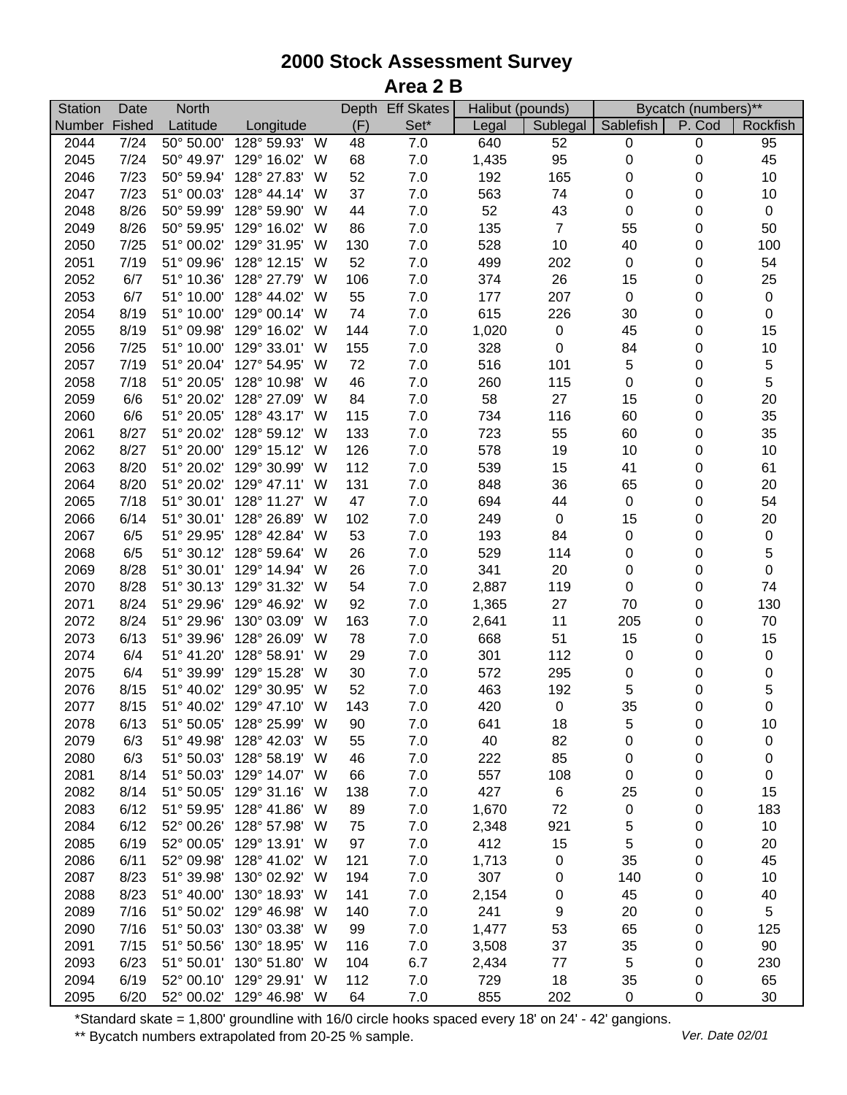## **2000 Stock Assessment Survey Area 2 B**

| <b>Station</b> | Date   | <b>North</b>             |                          |     |     | Depth Eff Skates | Halibut (pounds) |                | Bycatch (numbers)** |           |                  |
|----------------|--------|--------------------------|--------------------------|-----|-----|------------------|------------------|----------------|---------------------|-----------|------------------|
| <b>Number</b>  | Fished | Latitude                 | Longitude                |     | (F) | Set*             | Legal            | Sublegal       | Sablefish           | P. Cod    | Rockfish         |
| 2044           | 7/24   | $\overline{50}$ ° 50.00' | 128° 59.93'              | W   | 48  | 7.0              | 640              | 52             | 0                   | $\pmb{0}$ | 95               |
| 2045           | 7/24   | 50° 49.97'               | 129° 16.02'              | W   | 68  | 7.0              | 1,435            | 95             | $\pmb{0}$           | 0         | 45               |
| 2046           | 7/23   | 50° 59.94'               | 128° 27.83'              | W   | 52  | 7.0              | 192              | 165            | $\boldsymbol{0}$    | 0         | $10$             |
| 2047           | 7/23   | 51° 00.03'               | 128° 44.14'              | W   | 37  | 7.0              | 563              | 74             | 0                   | 0         | 10               |
| 2048           | 8/26   | 50° 59.99'               | 128° 59.90'              | W   | 44  | 7.0              | 52               | 43             | $\mathbf 0$         | 0         | $\boldsymbol{0}$ |
| 2049           | 8/26   | 50° 59.95'               | 129° 16.02'              | W   | 86  | 7.0              | 135              | $\overline{7}$ | 55                  | 0         | 50               |
| 2050           | 7/25   | 51° 00.02'               | 129° 31.95'              | W   | 130 | 7.0              | 528              | 10             | 40                  | 0         | 100              |
| 2051           | 7/19   | 51° 09.96'               | 128° 12.15'              | W   | 52  | $7.0$            | 499              | 202            | $\pmb{0}$           | 0         | 54               |
| 2052           | 6/7    | 51° 10.36'               | 128° 27.79'              | W   | 106 | 7.0              | 374              | 26             | 15                  | 0         | 25               |
| 2053           | 6/7    | 51° 10.00'               | 128° 44.02'              | W   | 55  | 7.0              | 177              | 207            | $\pmb{0}$           | 0         | 0                |
| 2054           | 8/19   | 51° 10.00'               | 129° 00.14'              | W   | 74  | 7.0              | 615              | 226            | 30                  | 0         | 0                |
| 2055           | 8/19   | 51° 09.98'               | 129° 16.02'              | W   | 144 | 7.0              | 1,020            | $\pmb{0}$      | 45                  | 0         | 15               |
| 2056           | 7/25   | 51° 10.00'               | 129° 33.01'              | W   | 155 | 7.0              | 328              | 0              | 84                  | 0         | 10               |
| 2057           | 7/19   | 51° 20.04'               | 127° 54.95'              | W   | 72  | 7.0              | 516              | 101            | 5                   | 0         | 5                |
| 2058           | 7/18   | 51° 20.05'               | 128° 10.98'              | W   | 46  | 7.0              | 260              | 115            | 0                   | 0         | 5                |
| 2059           | 6/6    | 51° 20.02'               | 128° 27.09'              | W   | 84  | 7.0              | 58               | 27             | 15                  | 0         | 20               |
| 2060           | 6/6    | 51° 20.05'               | 128° 43.17'              | W   | 115 | 7.0              | 734              | 116            | 60                  | 0         | 35               |
| 2061           | 8/27   | 51° 20.02'               | 128° 59.12'              | W   | 133 | 7.0              | 723              | 55             | 60                  | 0         | 35               |
| 2062           | 8/27   | 51° 20.00'               | 129° 15.12'              | W   | 126 | 7.0              | 578              | 19             | 10                  | 0         | 10               |
| 2063           | 8/20   | 51° 20.02'               | 129° 30.99'              | W   | 112 | 7.0              | 539              | 15             | 41                  | 0         | 61               |
| 2064           | 8/20   | 51° 20.02'               | 129° 47.11'              | W   | 131 | 7.0              | 848              | 36             | 65                  | 0         | 20               |
| 2065           | 7/18   | 51° 30.01'               | 128° 11.27'              | W   | 47  | 7.0              | 694              | 44             | $\pmb{0}$           | 0         | 54               |
| 2066           | 6/14   | 51° 30.01'               | 128° 26.89'              | W   | 102 | 7.0              | 249              | $\pmb{0}$      | 15                  | 0         | 20               |
| 2067           | 6/5    | 51° 29.95'               | 128° 42.84'              | W   | 53  | 7.0              | 193              | 84             | $\pmb{0}$           | 0         | $\pmb{0}$        |
| 2068           | 6/5    | 51° 30.12'               | 128° 59.64'              | W   | 26  | $7.0$            | 529              | 114            | $\pmb{0}$           | 0         | 5                |
| 2069           | 8/28   | 51° 30.01'               | 129° 14.94'              | W   | 26  | 7.0              | 341              | 20             | $\pmb{0}$           | 0         | $\mathsf 0$      |
| 2070           | 8/28   | 51° 30.13'               | 129° 31.32'              | W   | 54  | 7.0              | 2,887            | 119            | $\boldsymbol{0}$    | 0         | 74               |
| 2071           | 8/24   | 51° 29.96'               | 129° 46.92'              | W   | 92  | 7.0              | 1,365            | 27             | 70                  | 0         | 130              |
| 2072           | 8/24   | 51° 29.96'               | 130° 03.09'              | W   | 163 | 7.0              | 2,641            | 11             | 205                 | 0         | $70\,$           |
| 2073           | 6/13   | 51° 39.96'               | 128° 26.09'              | W   | 78  | 7.0              | 668              | 51             | 15                  | 0         | 15               |
| 2074           | 6/4    | 51° 41.20'               | 128° 58.91'              | W   | 29  | 7.0              | 301              | 112            | $\pmb{0}$           | 0         | 0                |
| 2075           | 6/4    | 51° 39.99'               | 129° 15.28'              | W   | 30  | 7.0              | 572              | 295            | $\pmb{0}$           | 0         | 0                |
| 2076           | 8/15   | 51° 40.02'               | 129° 30.95'              | W   | 52  | 7.0              | 463              | 192            | 5                   | 0         | 5                |
| 2077           | 8/15   |                          | 51° 40.02' 129° 47.10' W |     | 143 | 7.0              | 420              | $\pmb{0}$      | 35                  | 0         | $\boldsymbol{0}$ |
| 2078           | 6/13   | 51° 50.05'               | 128° 25.99'              | W   | 90  | 7.0              | 641              | 18             | 5                   | 0         | 10               |
| 2079           | 6/3    | 51° 49.98'               | 128° 42.03'              | W   | 55  | 7.0              | 40               | 82             | 0                   | 0         | 0                |
| 2080           | 6/3    | 51° 50.03'               | 128° 58.19'              | - W | 46  | 7.0              | 222              | 85             | 0                   | 0         | 0                |
| 2081           | 8/14   | 51° 50.03'               | 129° 14.07' W            |     | 66  | 7.0              | 557              | 108            | 0                   | 0         | 0                |
| 2082           | 8/14   | 51° 50.05'               | 129° 31.16'              | W   | 138 | 7.0              | 427              | 6              | 25                  | 0         | 15               |
| 2083           | 6/12   | 51° 59.95'               | 128° 41.86'              | - W | 89  | 7.0              | 1,670            | 72             | $\boldsymbol{0}$    | 0         | 183              |
| 2084           | 6/12   | 52° 00.26'               | 128° 57.98'              | W   | 75  | 7.0              | 2,348            | 921            | 5                   | 0         | 10               |
| 2085           | 6/19   | 52° 00.05'               | 129° 13.91' W            |     | 97  | 7.0              | 412              | 15             | 5                   | 0         | 20               |
| 2086           | 6/11   | 52° 09.98'               | 128° 41.02'              | W   | 121 | 7.0              | 1,713            | 0              | 35                  | 0         | 45               |
| 2087           | 8/23   | 51° 39.98'               | 130° 02.92'              | W   | 194 | 7.0              | 307              | 0              | 140                 | 0         | 10               |
| 2088           | 8/23   | 51° 40.00'               | 130° 18.93'              | W   | 141 | 7.0              | 2,154            | 0              | 45                  | 0         | 40               |
| 2089           | 7/16   | 51° 50.02'               | 129° 46.98'              | W   | 140 | 7.0              | 241              | 9              | 20                  | 0         | 5                |
| 2090           | 7/16   | 51° 50.03'               | 130° 03.38'              | W   | 99  | 7.0              | 1,477            | 53             | 65                  | 0         | 125              |
| 2091           | 7/15   | 51° 50.56'               | 130° 18.95'              | W   | 116 | 7.0              | 3,508            | 37             | 35                  | 0         | 90               |
| 2093           | 6/23   | $51^{\circ} 50.01'$      | 130° 51.80'              | - W | 104 | 6.7              | 2,434            | 77             | 5                   | 0         | 230              |
| 2094           | 6/19   |                          | 52° 00.10' 129° 29.91' W |     | 112 | 7.0              | 729              | 18             | 35                  | 0         | 65               |
| 2095           | 6/20   |                          | 52° 00.02' 129° 46.98' W |     | 64  | 7.0              | 855              | 202            | 0                   | 0         | 30               |

\*Standard skate = 1,800' groundline with 16/0 circle hooks spaced every 18' on 24' - 42' gangions.

\*\* Bycatch numbers extrapolated from 20-25 % sample. We are also asset that the UP of the Material of the Materia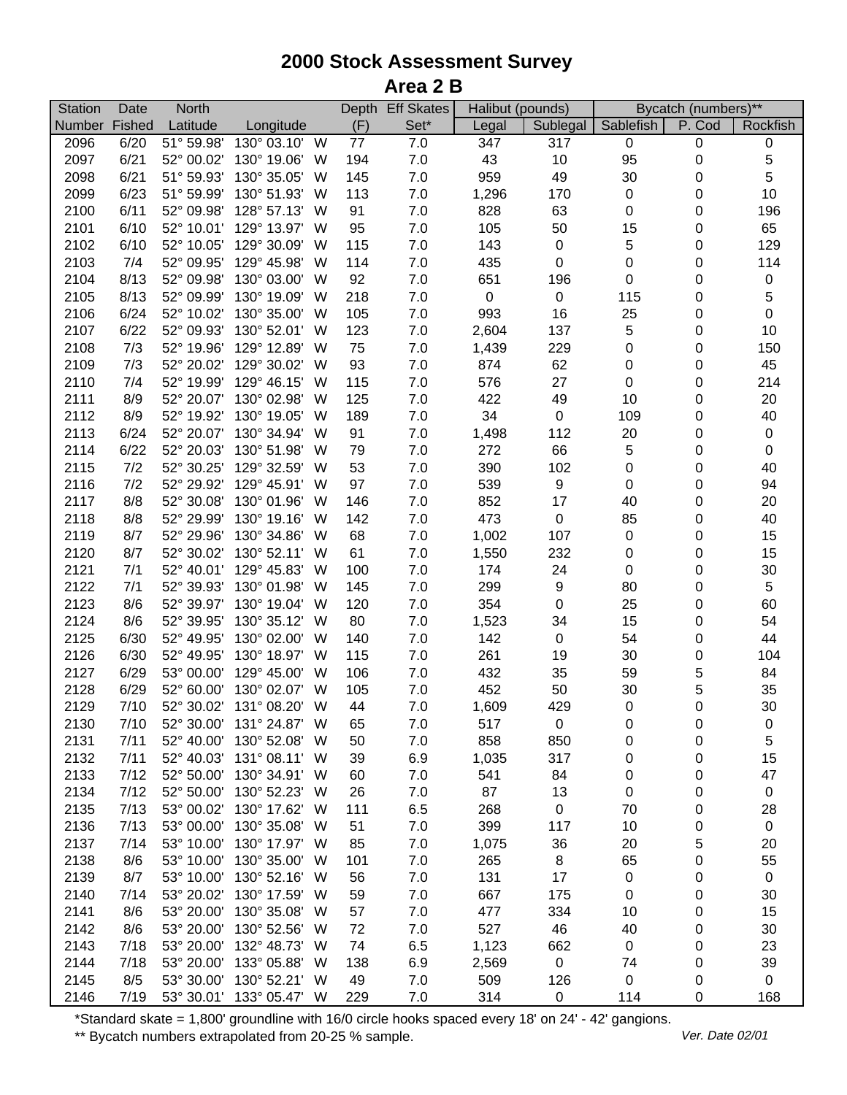## **2000 Stock Assessment Survey Area 2 B**

| <b>Station</b> | Date         | <b>North</b>             |                                         |   |           | Depth Eff Skates |            | Halibut (pounds) | Bycatch (numbers)** |           |                   |
|----------------|--------------|--------------------------|-----------------------------------------|---|-----------|------------------|------------|------------------|---------------------|-----------|-------------------|
| Number         | Fished       | Latitude                 | Longitude                               |   | (F)       | Set*             | Legal      | Sublegal         | Sablefish           | P. Cod    | Rockfish          |
| 2096           | 6/20         | $\overline{51}$ ° 59.98' | 130° 03.10'                             | W | 77        | 7.0              | 347        | 317              | $\pmb{0}$           | $\pmb{0}$ | 0                 |
| 2097           | 6/21         | 52° 00.02'               | 130° 19.06'                             | W | 194       | 7.0              | 43         | 10               | 95                  | 0         | 5                 |
| 2098           | 6/21         | 51° 59.93'               | 130° 35.05'                             | W | 145       | 7.0              | 959        | 49               | 30                  | 0         | 5                 |
| 2099           | 6/23         | 51° 59.99'               | 130° 51.93'                             | W | 113       | 7.0              | 1,296      | 170              | $\pmb{0}$           | 0         | 10                |
| 2100           | 6/11         | 52° 09.98'               | 128° 57.13'                             | W | 91        | 7.0              | 828        | 63               | $\mathbf 0$         | 0         | 196               |
| 2101           | 6/10         | 52° 10.01'               | 129° 13.97'                             | W | 95        | 7.0              | 105        | 50               | 15                  | 0         | 65                |
| 2102           | 6/10         | 52° 10.05'               | 129° 30.09'                             | W | 115       | $7.0$            | 143        | $\pmb{0}$        | 5                   | 0         | 129               |
| 2103           | 7/4          | 52° 09.95'               | 129° 45.98'                             | W | 114       | $7.0$            | 435        | $\pmb{0}$        | $\mathbf 0$         | $\pmb{0}$ | 114               |
| 2104           | 8/13         | 52° 09.98'               | 130° 03.00'                             | W | 92        | 7.0              | 651        | 196              | $\boldsymbol{0}$    | 0         | 0                 |
| 2105           | 8/13         | 52° 09.99'               | 130° 19.09'                             | W | 218       | 7.0              | $\pmb{0}$  | $\pmb{0}$        | 115                 | 0         | 5                 |
| 2106           | 6/24         | 52° 10.02'               | 130° 35.00'                             | W | 105       | 7.0              | 993        | 16               | 25                  | 0         | $\mathbf 0$       |
| 2107           | 6/22         | 52° 09.93'               | 130° 52.01'                             | W | 123       | 7.0              | 2,604      | 137              | 5                   | 0         | 10                |
| 2108           | 7/3          | 52° 19.96'               | 129° 12.89'                             | W | 75        | 7.0              | 1,439      | 229              | $\boldsymbol{0}$    | 0         | 150               |
| 2109           | 7/3          | 52° 20.02'               | 129° 30.02'                             | W | 93        | 7.0              | 874        | 62               | $\pmb{0}$           | 0         | 45                |
| 2110           | 7/4          | 52° 19.99'               | 129° 46.15'                             | W | 115       | 7.0              | 576        | 27               | $\pmb{0}$           | 0         | 214               |
| 2111           | 8/9          | 52° 20.07'               | 130° 02.98'                             | W | 125       | 7.0              | 422        | 49               | 10                  | 0         | 20                |
| 2112           | 8/9          | 52° 19.92'               | 130° 19.05'                             | W | 189       | 7.0              | 34         | $\pmb{0}$        | 109                 | 0         | 40                |
| 2113           | 6/24         | 52° 20.07'               | 130° 34.94'                             | W | 91        | 7.0              | 1,498      | 112              | 20                  | 0         | 0                 |
| 2114           | 6/22         | 52° 20.03'               | 130° 51.98'                             | W | 79        | 7.0              | 272        | 66               | 5                   | 0         | 0                 |
| 2115           | 7/2          | 52° 30.25'               | 129° 32.59'                             | W | 53        | 7.0              | 390        | 102              | $\pmb{0}$           | 0         | 40                |
| 2116           | 7/2          | 52° 29.92'               | 129° 45.91'                             | W | 97        | 7.0              | 539        | 9                | $\pmb{0}$           | 0         | 94                |
| 2117           | 8/8          | 52° 30.08'               | 130° 01.96'                             | W | 146       | 7.0              | 852        | 17               | 40                  | 0         | 20                |
| 2118           | 8/8          | 52° 29.99'               | 130° 19.16'                             | W | 142       | 7.0              | 473        | $\pmb{0}$        | 85                  | 0         | 40                |
| 2119           | 8/7          | 52° 29.96'               | 130° 34.86'                             | W | 68        | $7.0$            | 1,002      | 107              | $\pmb{0}$           | 0         | 15                |
| 2120           | 8/7          | 52° 30.02'               | 130° 52.11'                             | W | 61        | $7.0$            | 1,550      | 232              | $\pmb{0}$           | 0         | 15                |
| 2121           | 7/1          | 52° 40.01'               | 129° 45.83'                             | W | 100       | 7.0              | 174        | 24               | $\pmb{0}$           | 0         | $30\,$            |
| 2122           | 7/1          | 52° 39.93'               | 130° 01.98'                             | W | 145       | 7.0              | 299        | $\boldsymbol{9}$ | 80                  | 0         | 5                 |
| 2123           | 8/6          | 52° 39.97'               | 130° 19.04'                             | W | 120       | 7.0              | 354        | $\pmb{0}$        | 25                  | 0         | 60                |
| 2124           | 8/6          | 52° 39.95'               | 130° 35.12'                             | W | 80        | 7.0              | 1,523      | 34               | 15                  | 0         | 54                |
| 2125           | 6/30         | 52° 49.95'               | 130° 02.00'                             | W | 140       | 7.0              | 142        | $\pmb{0}$        | 54                  | 0         | 44                |
| 2126           | 6/30         | 52° 49.95'               | 130° 18.97'                             | W | 115       | 7.0              | 261        | 19               | 30                  | 0         | 104               |
| 2127           | 6/29         | 53° 00.00'               | 129° 45.00'                             | W | 106       | 7.0              | 432        | 35               | 59                  |           |                   |
| 2128           | 6/29         | 52° 60.00'               | 130° 02.07'                             | W | 105       | 7.0              | 452        |                  |                     | 5<br>5    | 84<br>35          |
| 2129           | 7/10         |                          | 52° 30.02' 131° 08.20' W                |   | 44        | 7.0              |            | 50<br>429        | 30<br>$\pmb{0}$     | 0         | 30                |
|                |              |                          |                                         |   |           |                  | 1,609      |                  |                     |           |                   |
| 2130           | 7/10<br>7/11 | 52° 40.00'               | 52° 30.00' 131° 24.87' W<br>130° 52.08' | W | 65<br>50  | 7.0<br>7.0       | 517<br>858 | 0                | 0                   | 0         | 0<br>5            |
| 2131<br>2132   | 7/11         |                          | 52° 40.03' 131° 08.11' W                |   | 39        | 6.9              |            | 850<br>317       | 0                   | 0         | 15                |
| 2133           | 7/12         |                          | 52° 50.00' 130° 34.91' W                |   |           |                  | 1,035      |                  | 0                   | 0         | 47                |
|                | 7/12         |                          | 52° 50.00' 130° 52.23' W                |   | 60        | 7.0              | 541        | 84               | 0<br>$\pmb{0}$      | 0         |                   |
| 2134           | 7/13         |                          | 53° 00.02' 130° 17.62' W                |   | 26<br>111 | 7.0              | 87         | 13<br>$\pmb{0}$  |                     | 0         | $\pmb{0}$         |
| 2135           |              |                          | 53° 00.00' 130° 35.08'                  |   |           | 6.5              | 268        |                  | 70                  | 0         | 28<br>$\mathbf 0$ |
| 2136           | 7/13         |                          |                                         | W | 51        | 7.0              | 399        | 117              | 10                  | 0         |                   |
| 2137           | 7/14         |                          | 53° 10.00' 130° 17.97' W                |   | 85        | 7.0              | 1,075      | 36               | 20                  | 5         | 20                |
| 2138           | 8/6          |                          | 53° 10.00' 130° 35.00'                  | W | 101       | 7.0              | 265        | 8                | 65                  | 0         | 55                |
| 2139           | 8/7          | 53° 10.00'               | 130° 52.16'                             | W | 56        | 7.0              | 131        | 17               | $\pmb{0}$           | 0         | $\pmb{0}$         |
| 2140           | 7/14         | 53° 20.02'               | 130° 17.59'                             | W | 59        | 7.0              | 667        | 175              | $\boldsymbol{0}$    | 0         | 30                |
| 2141           | 8/6          | 53° 20.00'               | 130° 35.08'                             | W | 57        | 7.0              | 477        | 334              | 10                  | 0         | 15                |
| 2142           | 8/6          | 53° 20.00'               | 130° 52.56'                             | W | 72        | 7.0              | 527        | 46               | 40                  | 0         | 30                |
| 2143           | 7/18         | 53° 20.00'               | 132° 48.73'                             | W | 74        | 6.5              | 1,123      | 662              | $\mathbf 0$         | 0         | 23                |
| 2144           | 7/18         |                          | 53° 20.00' 133° 05.88'                  | W | 138       | 6.9              | 2,569      | $\mathbf 0$      | 74                  | 0         | 39                |
| 2145           | 8/5          |                          | 53° 30.00' 130° 52.21' W                |   | 49        | 7.0              | 509        | 126              | $\pmb{0}$           | 0         | 0                 |
| 2146           | 7/19         |                          | 53° 30.01' 133° 05.47' W                |   | 229       | 7.0              | 314        | 0                | 114                 | 0         | 168               |

\*Standard skate = 1,800' groundline with 16/0 circle hooks spaced every 18' on 24' - 42' gangions.

\*\* Bycatch numbers extrapolated from 20-25 % sample. We are also asset that the UP of the Material of the Materia